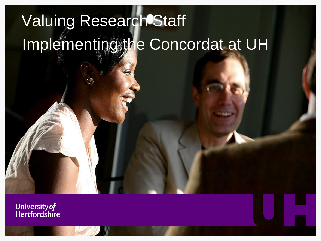# Valuing Research Staff Implementing the Concordat at UH

**University of Hertfordshire**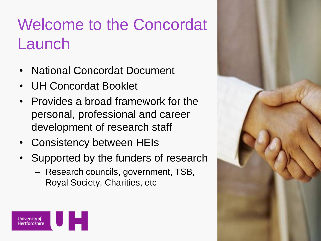## Welcome to the Concordat Launch

- National Concordat Document
- UH Concordat Booklet
- Provides a broad framework for the personal, professional and career development of research staff
- Consistency between HEIs
- Supported by the funders of research
	- Research councils, government, TSB, Royal Society, Charities, etc



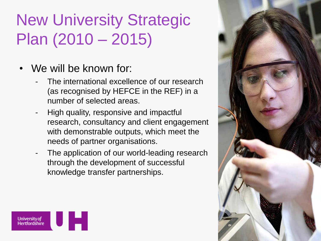#### New University Strategic Plan (2010 – 2015)

- We will be known for:
	- The international excellence of our research (as recognised by HEFCE in the REF) in a number of selected areas.
	- High quality, responsive and impactful research, consultancy and client engagement with demonstrable outputs, which meet the needs of partner organisations.
	- The application of our world-leading research through the development of successful knowledge transfer partnerships.



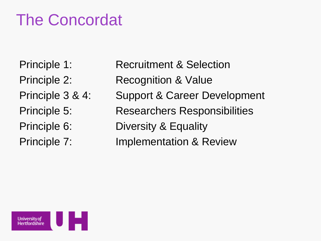#### The Concordat

- 
- 
- 
- 
- 
- 
- Principle 1: Recruitment & Selection
- Principle 2: Recognition & Value
- Principle 3 & 4: Support & Career Development
- Principle 5: Researchers Responsibilities
- Principle 6: Diversity & Equality
- Principle 7: Implementation & Review

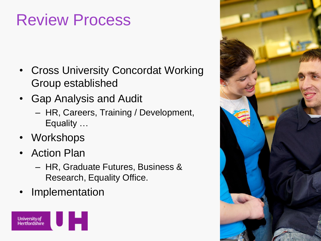#### Review Process

- Cross University Concordat Working Group established
- Gap Analysis and Audit
	- HR, Careers, Training / Development, Equality …
- Workshops
- Action Plan
	- HR, Graduate Futures, Business & Research, Equality Office.
- **Implementation**



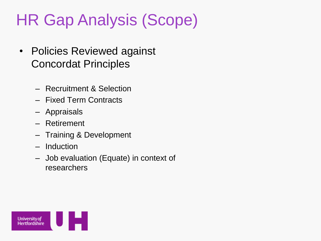## HR Gap Analysis (Scope)

- Policies Reviewed against Concordat Principles
	- Recruitment & Selection
	- Fixed Term Contracts
	- Appraisals
	- Retirement
	- Training & Development
	- Induction
	- Job evaluation (Equate) in context of researchers

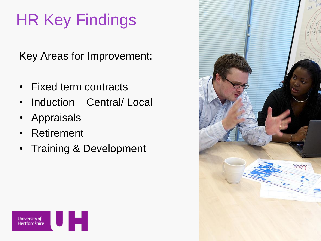# HR Key Findings

Key Areas for Improvement:

- Fixed term contracts
- Induction Central/ Local
- Appraisals
- Retirement
- Training & Development



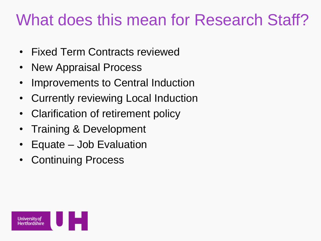#### What does this mean for Research Staff?

- Fixed Term Contracts reviewed
- New Appraisal Process
- Improvements to Central Induction
- Currently reviewing Local Induction
- Clarification of retirement policy
- Training & Development
- Equate Job Evaluation
- Continuing Process